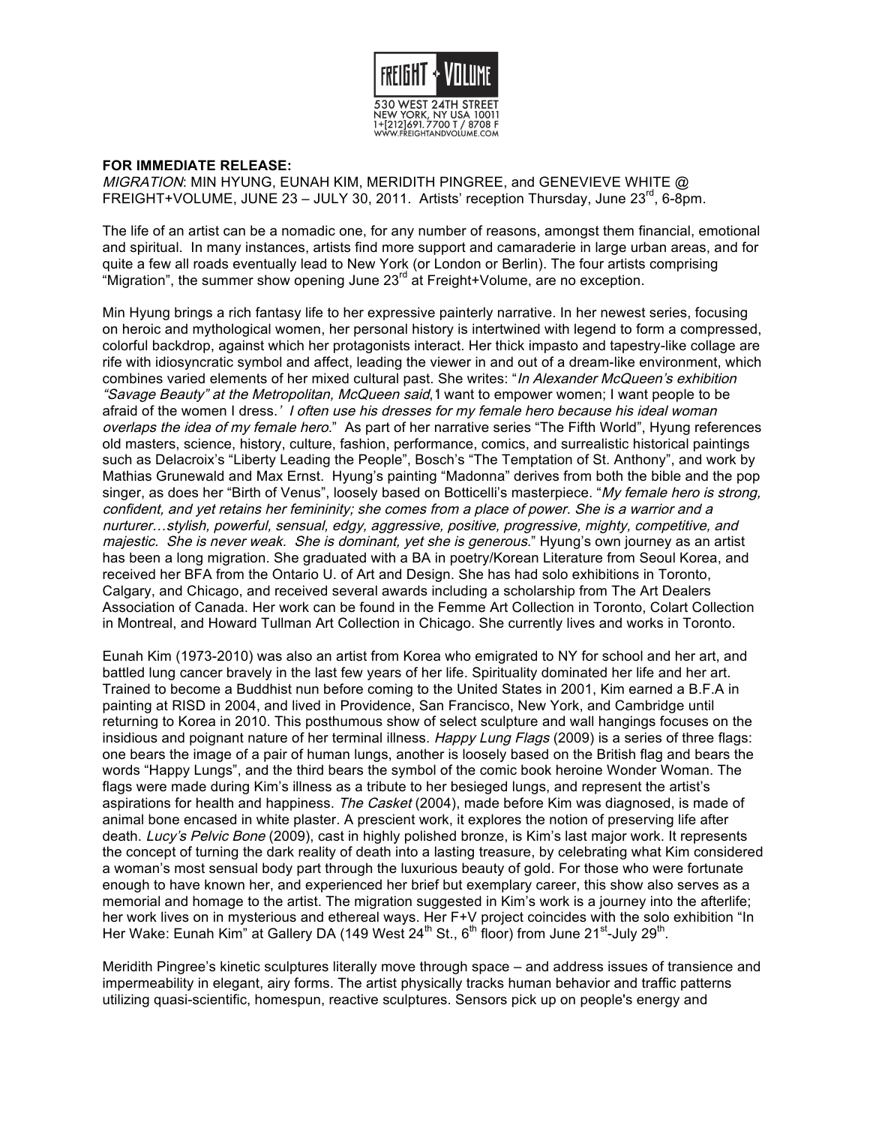

## **FOR IMMEDIATE RELEASE:**

MIGRATION: MIN HYUNG, EUNAH KIM, MERIDITH PINGREE, and GENEVIEVE WHITE @ FREIGHT+VOLUME, JUNE 23 - JULY 30, 2011. Artists' reception Thursday, June  $23^{\text{rd}}$ , 6-8pm.

The life of an artist can be a nomadic one, for any number of reasons, amongst them financial, emotional and spiritual. In many instances, artists find more support and camaraderie in large urban areas, and for quite a few all roads eventually lead to New York (or London or Berlin). The four artists comprising "Migration", the summer show opening June 23<sup>rd</sup> at Freight+Volume, are no exception.

Min Hyung brings a rich fantasy life to her expressive painterly narrative. In her newest series, focusing on heroic and mythological women, her personal history is intertwined with legend to form a compressed, colorful backdrop, against which her protagonists interact. Her thick impasto and tapestry-like collage are rife with idiosyncratic symbol and affect, leading the viewer in and out of a dream-like environment, which combines varied elements of her mixed cultural past. She writes: "In Alexander McQueen's exhibition "Savage Beauty" at the Metropolitan, McQueen said, I want to empower women; I want people to be afraid of the women I dress.' I often use his dresses for my female hero because his ideal woman overlaps the idea of my female hero." As part of her narrative series "The Fifth World", Hyung references old masters, science, history, culture, fashion, performance, comics, and surrealistic historical paintings such as Delacroix's "Liberty Leading the People", Bosch's "The Temptation of St. Anthony", and work by Mathias Grunewald and Max Ernst. Hyung's painting "Madonna" derives from both the bible and the pop singer, as does her "Birth of Venus", loosely based on Botticelli's masterpiece. "My female hero is strong, confident, and yet retains her femininity; she comes from a place of power. She is a warrior and a nurturer…stylish, powerful, sensual, edgy, aggressive, positive, progressive, mighty, competitive, and majestic. She is never weak. She is dominant, yet she is generous." Hyung's own journey as an artist has been a long migration. She graduated with a BA in poetry/Korean Literature from Seoul Korea, and received her BFA from the Ontario U. of Art and Design. She has had solo exhibitions in Toronto, Calgary, and Chicago, and received several awards including a scholarship from The Art Dealers Association of Canada. Her work can be found in the Femme Art Collection in Toronto, Colart Collection in Montreal, and Howard Tullman Art Collection in Chicago. She currently lives and works in Toronto.

Eunah Kim (1973-2010) was also an artist from Korea who emigrated to NY for school and her art, and battled lung cancer bravely in the last few years of her life. Spirituality dominated her life and her art. Trained to become a Buddhist nun before coming to the United States in 2001, Kim earned a B.F.A in painting at RISD in 2004, and lived in Providence, San Francisco, New York, and Cambridge until returning to Korea in 2010. This posthumous show of select sculpture and wall hangings focuses on the insidious and poignant nature of her terminal illness. Happy Lung Flags (2009) is a series of three flags: one bears the image of a pair of human lungs, another is loosely based on the British flag and bears the words "Happy Lungs", and the third bears the symbol of the comic book heroine Wonder Woman. The flags were made during Kim's illness as a tribute to her besieged lungs, and represent the artist's aspirations for health and happiness. The Casket (2004), made before Kim was diagnosed, is made of animal bone encased in white plaster. A prescient work, it explores the notion of preserving life after death. Lucy's Pelvic Bone (2009), cast in highly polished bronze, is Kim's last major work. It represents the concept of turning the dark reality of death into a lasting treasure, by celebrating what Kim considered a woman's most sensual body part through the luxurious beauty of gold. For those who were fortunate enough to have known her, and experienced her brief but exemplary career, this show also serves as a memorial and homage to the artist. The migration suggested in Kim's work is a journey into the afterlife; her work lives on in mysterious and ethereal ways. Her F+V project coincides with the solo exhibition "In Her Wake: Eunah Kim" at Gallery DA (149 West  $24<sup>th</sup>$  St., 6<sup>th</sup> floor) from June  $21<sup>st</sup>$ -July  $29<sup>th</sup>$ .

Meridith Pingree's kinetic sculptures literally move through space – and address issues of transience and impermeability in elegant, airy forms. The artist physically tracks human behavior and traffic patterns utilizing quasi-scientific, homespun, reactive sculptures. Sensors pick up on people's energy and